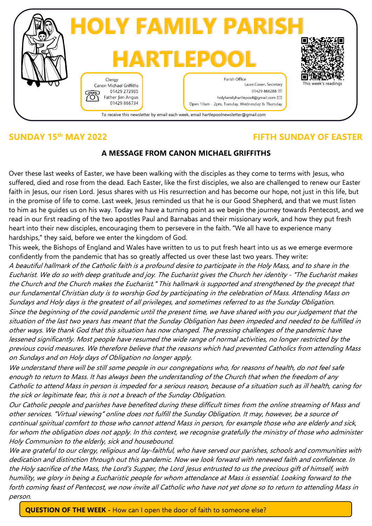

# **SUNDAY 15th MAY 2022 FIFTH SUNDAY OF EASTER**

## **A MESSAGE FROM CANON MICHAEL GRIFFITHS**

Over these last weeks of Easter, we have been walking with the disciples as they come to terms with Jesus, who suffered, died and rose from the dead. Each Easter, like the first disciples, we also are challenged to renew our Easter faith in Jesus, our risen Lord. Jesus shares with us His resurrection and has become our hope, not just in this life, but in the promise of life to come. Last week, Jesus reminded us that he is our Good Shepherd, and that we must listen to him as he guides us on his way. Today we have a turning point as we begin the journey towards Pentecost, and we read in our first reading of the two apostles Paul and Barnabas and their missionary work, and how they put fresh heart into their new disciples, encouraging them to persevere in the faith. "We all have to experience many hardships," they said, before we enter the kingdom of God.

This week, the Bishops of England and Wales have written to us to put fresh heart into us as we emerge evermore confidently from the pandemic that has so greatly affected us over these last two years. They write:

A beautiful hallmark of the Catholic faith is a profound desire to participate in the Holy Mass, and to share in the Eucharist. We do so with deep gratitude and joy. The Eucharist gives the Church her identity - "The Eucharist makes the Church and the Church makes the Eucharist." This hallmark is supported and strengthened by the precept that our fundamental Christian duty is to worship God by participating in the celebration of Mass. Attending Mass on Sundays and Holy days is the greatest of all privileges, and sometimes referred to as the Sunday Obligation. Since the beginning of the covid pandemic until the present time, we have shared with you our judgement that the situation of the last two years has meant that the Sunday Obligation has been impeded and needed to be fulfilled in other ways. We thank God that this situation has now changed. The pressing challenges of the pandemic have lessened significantly. Most people have resumed the wide range of normal activities, no longer restricted by the previous covid measures. We therefore believe that the reasons which had prevented Catholics from attending Mass on Sundays and on Holy days of Obligation no longer apply.

We understand there will be still some people in our congregations who, for reasons of health, do not feel safe enough to return to Mass. It has always been the understanding of the Church that when the freedom of any Catholic to attend Mass in person is impeded for a serious reason, because of a situation such as ill health, caring for the sick or legitimate fear, this is not a breach of the Sunday Obligation.

Our Catholic people and parishes have benefited during these difficult times from the online streaming of Mass and other services. "Virtual viewing" online does not fulfill the Sunday Obligation. It may, however, be a source of continual spiritual comfort to those who cannot attend Mass in person, for example those who are elderly and sick, for whom the obligation does not apply. In this context, we recognise gratefully the ministry of those who administer Holy Communion to the elderly, sick and housebound.

We are grateful to our clergy, religious and lay-faithful, who have served our parishes, schools and communities with dedication and distinction through out this pandemic. Now we look forward with renewed faith and confidence. In the Holy sacrifice of the Mass, the Lord's Supper, the Lord Jesus entrusted to us the precious gift of himself, with humility, we glory in being a Eucharistic people for whom attendance at Mass is essential. Looking forward to the forth coming feast of Pentecost, we now invite all Catholic who have not yet done so to return to attending Mass in person.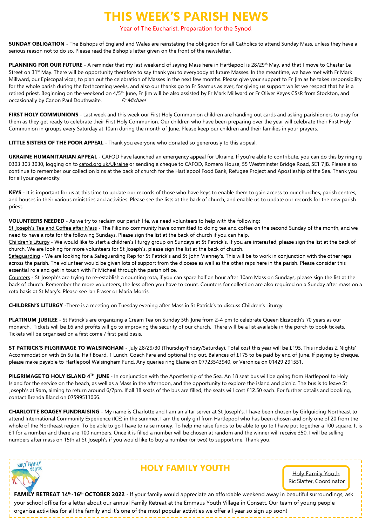# **THIS WEEK'S PARISH NEWS**

#### Year of The Eucharist, Preparation for the Synod

**SUNDAY OBLIGATION** - The Bishops of England and Wales are reinstating the obligation for all Catholics to attend Sunday Mass, unless they have a serious reason not to do so. Please read the Bishop's letter given on the front of the newsletter.

PLANNING FOR OUR FUTURE - A reminder that my last weekend of saying Mass here in Hartlepool is 28/29<sup>th</sup> May, and that I move to Chester Le Street on 31<sup>st</sup> May. There will be opportunity therefore to say thank you to everybody at future Masses. In the meantime, we have met with Fr Mark Millward, our Episcopal vicar, to plan out the celebration of Masses in the next few months. Please give your support to Fr Jim as he takes responsibility for the whole parish during the forthcoming weeks, and also our thanks go to Fr Seamus as ever, for giving us support whilst we respect that he is a retired priest. Beginning on the weekend on 4/5<sup>th</sup> June. Fr Jim will be also assisted by Fr Mark Millward or Fr Oliver Keyes CSsR from Stockton, and occasionally by Canon Paul Douthwaite. Fr Michael

**FIRST HOLY COMMUNIONS** - Last week and this week our First Holy Communion children are handing out cards and asking parishioners to pray for them as they get ready to celebrate their First Holy Communion. Our children who have been preparing over the year will celebrate their First Holy Communion in groups every Saturday at 10am during the month of June. Please keep our children and their families in your prayers.

**LITTLE SISTERS OF THE POOR APPEAL** - Thank you everyone who donated so generously to this appeal.

**UKRAINE HUMANITARIAN APPEAL** - CAFOD have launched an emergency appeal for Ukraine. If you're able to contribute, you can do this by ringing 0303 303 3030, logging on to cafod.org.uk/Ukraine or sending a cheque to CAFOD, Romero House, 55 Westminster Bridge Road, SE1 7JB. Please also continue to remember our collection bins at the back of church for the Hartlepool Food Bank, Refugee Project and Apostleship of the Sea. Thank you for all your generosity.

**KEYS** - It is important for us at this time to update our records of those who have keys to enable them to gain access to our churches, parish centres, and houses in their various ministries and activities. Please see the lists at the back of church, and enable us to update our records for the new parish priest.

**VOLUNTEERS NEEDED** - As we try to reclaim our parish life, we need volunteers to help with the following:

St Joseph's Tea and Coffee after Mass - The Filipino community have committed to doing tea and coffee on the second Sunday of the month, and we need to have a rota for the following Sundays. Please sign the list at the back of church if you can help.

Children's Liturgy - We would like to start a children's liturgy group on Sundays at St Patrick's. If you are interested, please sign the list at the back of church. We are looking for more volunteers for St Joseph's, please sign the list at the back of church.

Safeguarding - We are looking for a Safeguarding Rep for St Patrick's and St John Vianney's. This will be to work in conjunction with the other reps across the parish. The volunteer would be given lots of support from the diocese as well as the other reps here in the parish. Please consider this essential role and get in touch with Fr Michael through the parish office.

Counters - St Joseph's are trying to re-establish a counting rota, if you can spare half an hour after 10am Mass on Sundays, please sign the list at the back of church. Remember the more volunteers, the less often you have to count. Counters for collection are also required on a Sunday after mass on a rota basis at St Mary's. Please see Ian Fraser or Maria Morris.

**CHILDREN'S LITURGY** -There is a meeting on Tuesday evening after Mass in St Patrick's to discuss Children's Liturgy.

**PLATINUM JUBILEE** - St Patrick's are organizing a Cream Tea on Sunday 5th June from 2-4 pm to celebrate Queen Elizabeth's 70 years as our monarch. Tickets will be £6 and profits will go to improving the security of our church. There will be a list available in the porch to book tickets. Tickets will be organised on a first come / first paid basis.

**ST PATRICK'S PILGRIMAGE TO WALSINGHAM** - July 28/29/30 (Thursday/Friday/Saturday). Total cost this year will be £195. This includes 2 Nights' Accommodation with En Suite, Half Board, 1 Lunch, Coach Fare and optional trip out. Balances of £175 to be paid by end of June. If paying by cheque, please make payable to Hartlepool Walsingham Fund. Any queries ring Elaine on 07723543940, or Veronica on 01429 291551.

**PILGRIMAGE TO HOLY ISLAND 4 TH JUNE** - In conjunction with the Apostleship of the Sea. An 18 seat bus will be going from Hartlepool to Holy Island for the service on the beach, as well as a Mass in the afternoon, and the opportunity to explore the island and picnic. The bus is to leave St Joseph's at 9am, aiming to return around 6/7pm. If all 18 seats of the bus are filled, the seats will cost £12.50 each. For further details and booking, contact Brenda Bland on 07599511066.

**CHARLOTTE BOAGEY FUNDRAISING** - My name is Charlotte and I am an altar server at St Joseph's. I have been chosen by Girlguiding Northeast to attend International Community Experience (ICE) in the summer. I am the only girl from Hartlepool who has been chosen and only one of 20 from the whole of the Northeast region. To be able to go I have to raise money. To help me raise funds to be able to go to I have put together a 100 square. It is £1 for a number and there are 100 numbers. Once it is filled a number will be chosen at random and the winner will receive £50. I will be selling numbers after mass on 15th at St Joseph's if you would like to buy a number (or two) to support me. Thank you.



# **HOLY FAMILY YOUTH**

Holy Family Youth Ric Slatter, Coordinator

**FAMILY RETREAT 14th -16th OCTOBER 2022** - If your family would appreciate an affordable weekend away in beautiful surroundings, ask your school office for a letter about our annual Family Retreat at the Emmaus Youth Village in Consett. Our team of young people organise activities for all the family and it's one of the most popular activities we offer all year so sign up soon!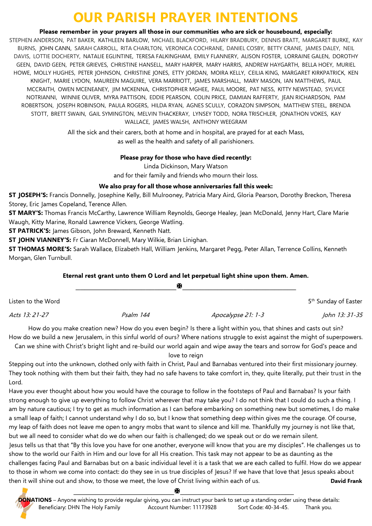# **OUR PARISH PRAYER INTENTIONS**

**Please remember in your prayers all those in our communities who are sick or housebound, especially:**

STEPHEN ANDERSON, PAT BAKER, KATHLEEN BARLOW, MICHAEL BLACKFORD, HILARY BRADBURY, DENNIS BRATT, MARGARET BURKE, KAY BURNS, JOHN CANN, SARAH CARROLL, RITA CHARLTON, VERONICA COCHRANE, DANIEL COSBY, BETTY CRANE, JAMES DALEY, NEIL DAVIS, LOTTIE DOCHERTY, NATALIE EGLINTINE, TERESA FALKINGHAM, EMILY FLANNERY, ALISON FOSTER, LORRAINE GALEN, DOROTHY GEEN, DAVID GEEN, PETER GRIEVES, CHRISTINE HANSELL, MARY HARPER, MARY HARRIS, ANDREW HAYGARTH, BELLA HOEY, MURIEL HOWE, MOLLY HUGHES, PETER JOHNSON, CHRISTINE JONES, ETTY JORDAN, MOIRA KELLY, CEILIA KING, MARGARET KIRKPATRICK, KEN KNIGHT, MARIE LYDON, MAUREEN MAGUIRE, VERA MARRIOTT, JAMES MARSHALL, MARY MASON, IAN MATTHEWS, PAUL MCCRAITH, OWEN MCENEANEY, JIM MCKENNA, CHRISTOPHER MGHEE, PAUL MOORE, PAT NESS, KITTY NEWSTEAD, SYLVICE NOTRIANNI, WINNIE OLIVER, MYRA PATTISON, EDDIE PEARSON, COLIN PRICE, DAMIAN RAFFERTY, JEAN RICHARDSON, PAM ROBERTSON, JOSEPH ROBINSON, PAULA ROGERS, HILDA RYAN, AGNES SCULLY, CORAZON SIMPSON, MATTHEW STEEL, BRENDA STOTT, BRETT SWAIN, GAIL SYMINGTON, MELVIN THACKERAY, LYNSEY TODD, NORA TRISCHLER, JONATHON VOKES, KAY WALLACE, JAMES WALSH, ANTHONY WEEGRAM

> All the sick and their carers, both at home and in hospital, are prayed for at each Mass, as well as the health and safety of all parishioners.

#### **Please pray for those who have died recently:**

Linda Dickinson, Mary Watson and for their family and friends who mourn their loss.

## **We also pray for all those whose anniversaries fall this week:**

**ST JOSEPH'S:** Francis Donnelly, Josephine Kelly, Bill Mulrooney, Patricia Mary Aird, Gloria Pearson, Dorothy Breckon, Theresa Storey, Eric James Copeland, Terence Allen.

**ST MARY'S:** Thomas Francis McCarthy, Lawrence William Reynolds, George Healey, Jean McDonald, Jenny Hart, Clare Marie Waugh, Kitty Marine, Ronald Lawrence Vickers, George Watling.

**ST PATRICK'S:** James Gibson, John Breward, Kenneth Natt.

**ST JOHN VIANNEY'S:** Fr Ciaran McDonnell, Mary Wilkie, Brian Linighan.

**ST THOMAS MORE'S:** Sarah Wallace, Elizabeth Hall, William Jenkins, Margaret Pegg, Peter Allan, Terrence Collins, Kenneth Morgan, Glen Turnbull.

## **Eternal rest grant unto them O Lord and let perpetual light shine upon them. Amen.**

|                    |           | М                  |                                  |
|--------------------|-----------|--------------------|----------------------------------|
| Listen to the Word |           |                    | 5 <sup>th</sup> Sunday of Easter |
| Acts 13: 21-27     | Psalm 144 | Apocalypse 21: 1-3 | John 13: 31-35                   |

How do you make creation new? How do you even begin? Is there a light within you, that shines and casts out sin? How do we build a new Jerusalem, in this sinful world of ours? Where nations struggle to exist against the might of superpowers.

Can we shine with Christ's bright light and re-build our world again and wipe away the tears and sorrow for God's peace and love to reign

Stepping out into the unknown, clothed only with faith in Christ, Paul and Barnabas ventured into their first missionary journey. They took nothing with them but their faith, they had no safe havens to take comfort in, they, quite literally, put their trust in the Lord.

Have you ever thought about how you would have the courage to follow in the footsteps of Paul and Barnabas? Is your faith strong enough to give up everything to follow Christ wherever that may take you? I do not think that I could do such a thing. I am by nature cautious; I try to get as much information as I can before embarking on something new but sometimes, I do make a small leap of faith; I cannot understand why I do so, but I know that something deep within gives me the courage. Of course, my leap of faith does not leave me open to angry mobs that want to silence and kill me. Thankfully my journey is not like that, but we all need to consider what do we do when our faith is challenged; do we speak out or do we remain silent.

Jesus tells us that that "By this love you have for one another, everyone will know that you are my disciples". He challenges us to show to the world our Faith in Him and our love for all His creation. This task may not appear to be as daunting as the challenges facing Paul and Barnabas but on a basic individual level it is a task that we are each called to fulfil. How do we appear to those in whom we come into contact: do they see in us true disciples of Jesus? If we have that love that Jesus speaks about then it will shine out and show, to those we meet, the love of Christ living within each of us. **David Frank**

**\_\_\_\_\_\_\_\_\_\_\_\_\_\_\_\_\_\_\_\_\_\_\_\_\_\_\_\_\_\_\_\_\_\_\_\_\_\_\_\_\_\_\_\_\_\_\_\_\_**